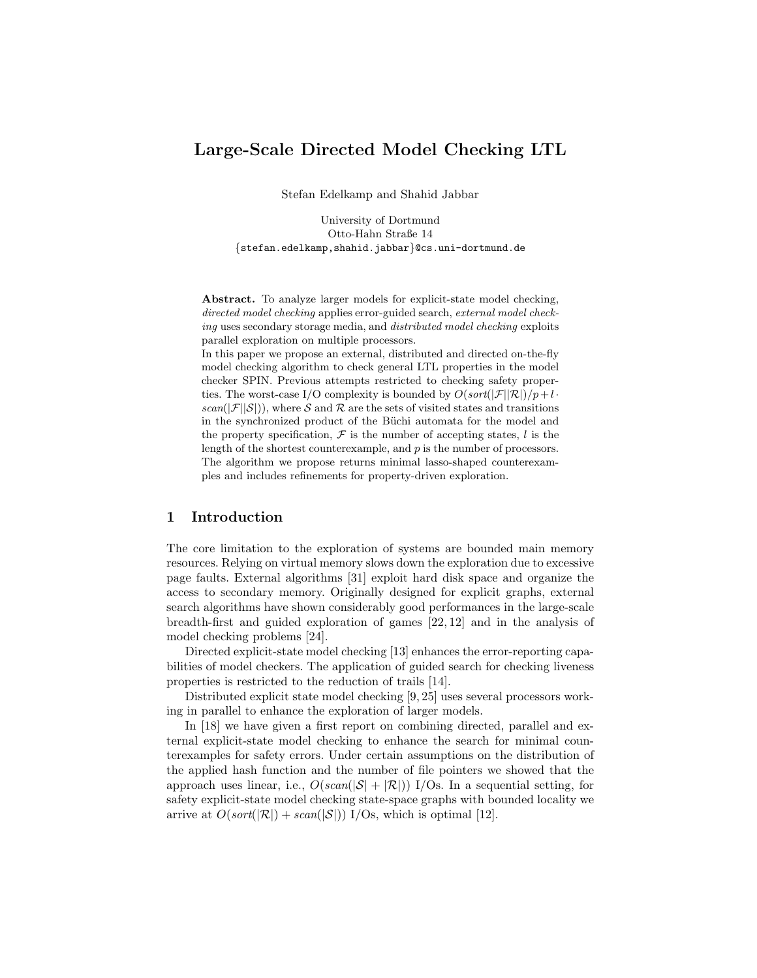# Large-Scale Directed Model Checking LTL

Stefan Edelkamp and Shahid Jabbar

University of Dortmund Otto-Hahn Straße 14 {stefan.edelkamp,shahid.jabbar}@cs.uni-dortmund.de

Abstract. To analyze larger models for explicit-state model checking, directed model checking applies error-guided search, external model checking uses secondary storage media, and distributed model checking exploits parallel exploration on multiple processors.

In this paper we propose an external, distributed and directed on-the-fly model checking algorithm to check general LTL properties in the model checker SPIN. Previous attempts restricted to checking safety properties. The worst-case I/O complexity is bounded by  $O(\text{sort}(|\mathcal{F}||\mathcal{R}|)/p+l$ .  $scan(|\mathcal{F}||\mathcal{S}|)$ , where S and R are the sets of visited states and transitions in the synchronized product of the Büchi automata for the model and the property specification,  $\mathcal F$  is the number of accepting states,  $l$  is the length of the shortest counterexample, and  $p$  is the number of processors. The algorithm we propose returns minimal lasso-shaped counterexamples and includes refinements for property-driven exploration.

# 1 Introduction

The core limitation to the exploration of systems are bounded main memory resources. Relying on virtual memory slows down the exploration due to excessive page faults. External algorithms [31] exploit hard disk space and organize the access to secondary memory. Originally designed for explicit graphs, external search algorithms have shown considerably good performances in the large-scale breadth-first and guided exploration of games [22, 12] and in the analysis of model checking problems [24].

Directed explicit-state model checking [13] enhances the error-reporting capabilities of model checkers. The application of guided search for checking liveness properties is restricted to the reduction of trails [14].

Distributed explicit state model checking [9, 25] uses several processors working in parallel to enhance the exploration of larger models.

In [18] we have given a first report on combining directed, parallel and external explicit-state model checking to enhance the search for minimal counterexamples for safety errors. Under certain assumptions on the distribution of the applied hash function and the number of file pointers we showed that the approach uses linear, i.e.,  $O(\text{scan}(|\mathcal{S}| + |\mathcal{R}|))$  I/Os. In a sequential setting, for safety explicit-state model checking state-space graphs with bounded locality we arrive at  $O(\text{sort}(|\mathcal{R}|) + \text{scan}(|\mathcal{S}|))$  I/Os, which is optimal [12].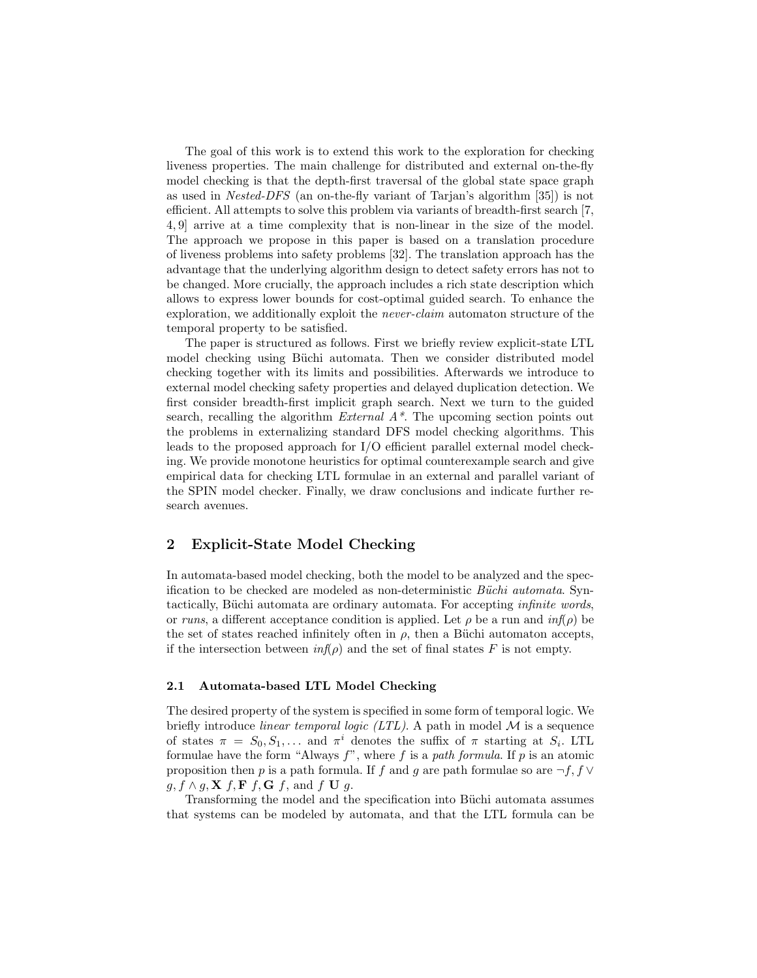The goal of this work is to extend this work to the exploration for checking liveness properties. The main challenge for distributed and external on-the-fly model checking is that the depth-first traversal of the global state space graph as used in Nested-DFS (an on-the-fly variant of Tarjan's algorithm [35]) is not efficient. All attempts to solve this problem via variants of breadth-first search [7, 4, 9] arrive at a time complexity that is non-linear in the size of the model. The approach we propose in this paper is based on a translation procedure of liveness problems into safety problems [32]. The translation approach has the advantage that the underlying algorithm design to detect safety errors has not to be changed. More crucially, the approach includes a rich state description which allows to express lower bounds for cost-optimal guided search. To enhance the exploration, we additionally exploit the never-claim automaton structure of the temporal property to be satisfied.

The paper is structured as follows. First we briefly review explicit-state LTL model checking using Büchi automata. Then we consider distributed model checking together with its limits and possibilities. Afterwards we introduce to external model checking safety properties and delayed duplication detection. We first consider breadth-first implicit graph search. Next we turn to the guided search, recalling the algorithm *External A\**. The upcoming section points out the problems in externalizing standard DFS model checking algorithms. This leads to the proposed approach for I/O efficient parallel external model checking. We provide monotone heuristics for optimal counterexample search and give empirical data for checking LTL formulae in an external and parallel variant of the SPIN model checker. Finally, we draw conclusions and indicate further research avenues.

# 2 Explicit-State Model Checking

In automata-based model checking, both the model to be analyzed and the specification to be checked are modeled as non-deterministic *Büchi automata*. Syntactically, Büchi automata are ordinary automata. For accepting *infinite words*, or runs, a different acceptance condition is applied. Let  $\rho$  be a run and  $\inf(\rho)$  be the set of states reached infinitely often in  $\rho$ , then a Büchi automaton accepts, if the intersection between  $\inf(\rho)$  and the set of final states F is not empty.

#### 2.1 Automata-based LTL Model Checking

The desired property of the system is specified in some form of temporal logic. We briefly introduce *linear temporal logic (LTL)*. A path in model  $M$  is a sequence of states  $\pi = S_0, S_1, \dots$  and  $\pi^i$  denotes the suffix of  $\pi$  starting at  $S_i$ . LTL formulae have the form "Always  $f$ ", where  $f$  is a path formula. If  $p$  is an atomic proposition then p is a path formula. If f and g are path formulae so are  $\neg f, f \vee$  $q, f \wedge q$ , **X**  $f$ , **F**  $f$ , **G**  $f$ , and  $f$  **U**  $q$ .

Transforming the model and the specification into Büchi automata assumes that systems can be modeled by automata, and that the LTL formula can be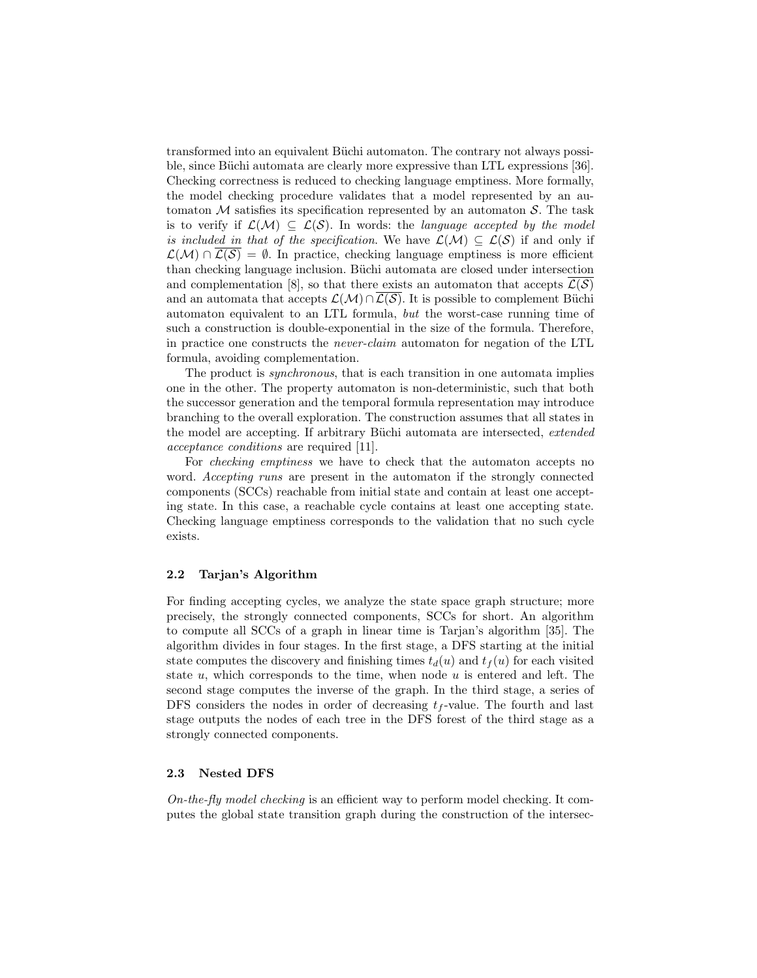transformed into an equivalent Büchi automaton. The contrary not always possible, since Büchi automata are clearly more expressive than LTL expressions [36]. Checking correctness is reduced to checking language emptiness. More formally, the model checking procedure validates that a model represented by an automaton  $M$  satisfies its specification represented by an automaton  $S$ . The task is to verify if  $\mathcal{L}(\mathcal{M}) \subseteq \mathcal{L}(\mathcal{S})$ . In words: the *language accepted by the model* is included in that of the specification. We have  $\mathcal{L}(\mathcal{M}) \subseteq \mathcal{L}(\mathcal{S})$  if and only if  $\mathcal{L}(\mathcal{M}) \cap \mathcal{L}(\mathcal{S}) = \emptyset$ . In practice, checking language emptiness is more efficient than checking language inclusion. Büchi automata are closed under intersection and complementation [8], so that there exists an automaton that accepts  $\mathcal{L}(\mathcal{S})$ and an automata that accepts  $\mathcal{L}(\mathcal{M}) \cap \overline{\mathcal{L}(\mathcal{S})}$ . It is possible to complement Büchi automaton equivalent to an LTL formula, but the worst-case running time of such a construction is double-exponential in the size of the formula. Therefore, in practice one constructs the never-claim automaton for negation of the LTL formula, avoiding complementation.

The product is *synchronous*, that is each transition in one automata implies one in the other. The property automaton is non-deterministic, such that both the successor generation and the temporal formula representation may introduce branching to the overall exploration. The construction assumes that all states in the model are accepting. If arbitrary Büchi automata are intersected, *extended* acceptance conditions are required [11].

For checking emptiness we have to check that the automaton accepts no word. Accepting runs are present in the automaton if the strongly connected components (SCCs) reachable from initial state and contain at least one accepting state. In this case, a reachable cycle contains at least one accepting state. Checking language emptiness corresponds to the validation that no such cycle exists.

#### 2.2 Tarjan's Algorithm

For finding accepting cycles, we analyze the state space graph structure; more precisely, the strongly connected components, SCCs for short. An algorithm to compute all SCCs of a graph in linear time is Tarjan's algorithm [35]. The algorithm divides in four stages. In the first stage, a DFS starting at the initial state computes the discovery and finishing times  $t_d(u)$  and  $t_f(u)$  for each visited state  $u$ , which corresponds to the time, when node  $u$  is entered and left. The second stage computes the inverse of the graph. In the third stage, a series of DFS considers the nodes in order of decreasing  $t_f$ -value. The fourth and last stage outputs the nodes of each tree in the DFS forest of the third stage as a strongly connected components.

# 2.3 Nested DFS

On-the-fly model checking is an efficient way to perform model checking. It computes the global state transition graph during the construction of the intersec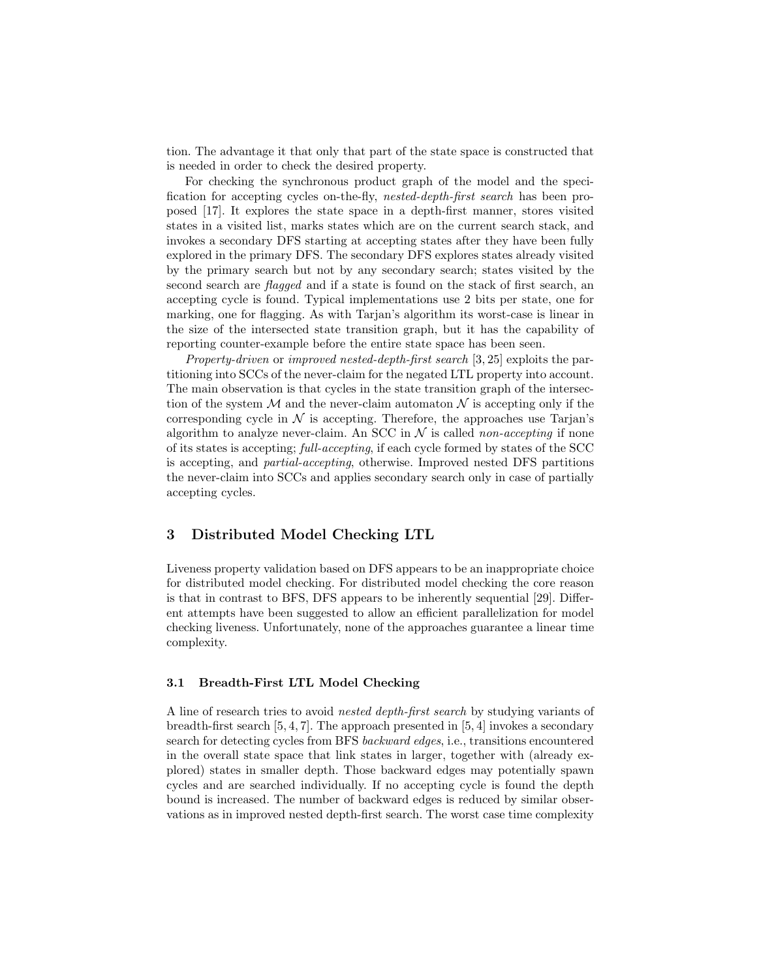tion. The advantage it that only that part of the state space is constructed that is needed in order to check the desired property.

For checking the synchronous product graph of the model and the specification for accepting cycles on-the-fly, nested-depth-first search has been proposed [17]. It explores the state space in a depth-first manner, stores visited states in a visited list, marks states which are on the current search stack, and invokes a secondary DFS starting at accepting states after they have been fully explored in the primary DFS. The secondary DFS explores states already visited by the primary search but not by any secondary search; states visited by the second search are *flagged* and if a state is found on the stack of first search, an accepting cycle is found. Typical implementations use 2 bits per state, one for marking, one for flagging. As with Tarjan's algorithm its worst-case is linear in the size of the intersected state transition graph, but it has the capability of reporting counter-example before the entire state space has been seen.

Property-driven or improved nested-depth-first search [3, 25] exploits the partitioning into SCCs of the never-claim for the negated LTL property into account. The main observation is that cycles in the state transition graph of the intersection of the system M and the never-claim automaton  $\mathcal N$  is accepting only if the corresponding cycle in  $\mathcal N$  is accepting. Therefore, the approaches use Tarjan's algorithm to analyze never-claim. An SCC in  $\mathcal N$  is called non-accepting if none of its states is accepting; full-accepting, if each cycle formed by states of the SCC is accepting, and partial-accepting, otherwise. Improved nested DFS partitions the never-claim into SCCs and applies secondary search only in case of partially accepting cycles.

# 3 Distributed Model Checking LTL

Liveness property validation based on DFS appears to be an inappropriate choice for distributed model checking. For distributed model checking the core reason is that in contrast to BFS, DFS appears to be inherently sequential [29]. Different attempts have been suggested to allow an efficient parallelization for model checking liveness. Unfortunately, none of the approaches guarantee a linear time complexity.

#### 3.1 Breadth-First LTL Model Checking

A line of research tries to avoid nested depth-first search by studying variants of breadth-first search [5, 4, 7]. The approach presented in [5, 4] invokes a secondary search for detecting cycles from BFS backward edges, i.e., transitions encountered in the overall state space that link states in larger, together with (already explored) states in smaller depth. Those backward edges may potentially spawn cycles and are searched individually. If no accepting cycle is found the depth bound is increased. The number of backward edges is reduced by similar observations as in improved nested depth-first search. The worst case time complexity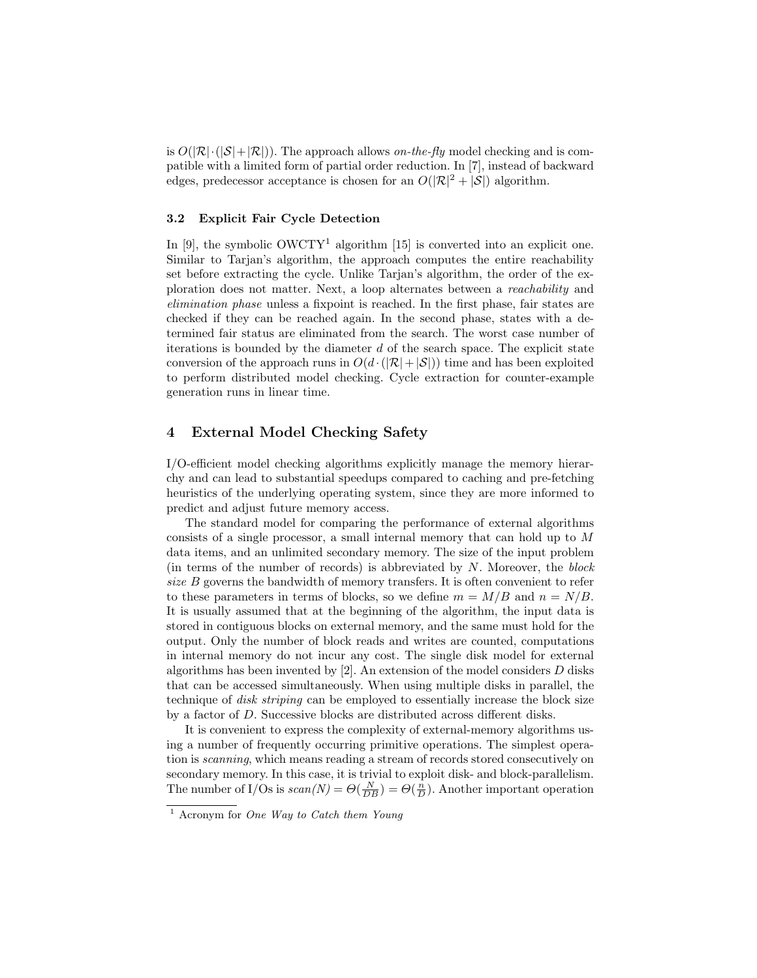is  $O(|\mathcal{R}|\cdot(|\mathcal{S}|+|\mathcal{R}|))$ . The approach allows on-the-fly model checking and is compatible with a limited form of partial order reduction. In [7], instead of backward edges, predecessor acceptance is chosen for an  $O(|\mathcal{R}|^2 + |\mathcal{S}|)$  algorithm.

### 3.2 Explicit Fair Cycle Detection

In [9], the symbolic OWCTY<sup>1</sup> algorithm [15] is converted into an explicit one. Similar to Tarjan's algorithm, the approach computes the entire reachability set before extracting the cycle. Unlike Tarjan's algorithm, the order of the exploration does not matter. Next, a loop alternates between a reachability and elimination phase unless a fixpoint is reached. In the first phase, fair states are checked if they can be reached again. In the second phase, states with a determined fair status are eliminated from the search. The worst case number of iterations is bounded by the diameter  $d$  of the search space. The explicit state conversion of the approach runs in  $O(d \cdot (|\mathcal{R}|+|\mathcal{S}|))$  time and has been exploited to perform distributed model checking. Cycle extraction for counter-example generation runs in linear time.

### 4 External Model Checking Safety

I/O-efficient model checking algorithms explicitly manage the memory hierarchy and can lead to substantial speedups compared to caching and pre-fetching heuristics of the underlying operating system, since they are more informed to predict and adjust future memory access.

The standard model for comparing the performance of external algorithms consists of a single processor, a small internal memory that can hold up to M data items, and an unlimited secondary memory. The size of the input problem (in terms of the number of records) is abbreviated by  $N$ . Moreover, the block size B governs the bandwidth of memory transfers. It is often convenient to refer to these parameters in terms of blocks, so we define  $m = M/B$  and  $n = N/B$ . It is usually assumed that at the beginning of the algorithm, the input data is stored in contiguous blocks on external memory, and the same must hold for the output. Only the number of block reads and writes are counted, computations in internal memory do not incur any cost. The single disk model for external algorithms has been invented by  $[2]$ . An extension of the model considers  $D$  disks that can be accessed simultaneously. When using multiple disks in parallel, the technique of *disk striping* can be employed to essentially increase the block size by a factor of D. Successive blocks are distributed across different disks.

It is convenient to express the complexity of external-memory algorithms using a number of frequently occurring primitive operations. The simplest operation is scanning, which means reading a stream of records stored consecutively on secondary memory. In this case, it is trivial to exploit disk- and block-parallelism. The number of I/Os is  $scan(N) = \Theta(\frac{N}{DB}) = \Theta(\frac{n}{D})$ . Another important operation

<sup>&</sup>lt;sup>1</sup> Acronym for *One Way to Catch them Young*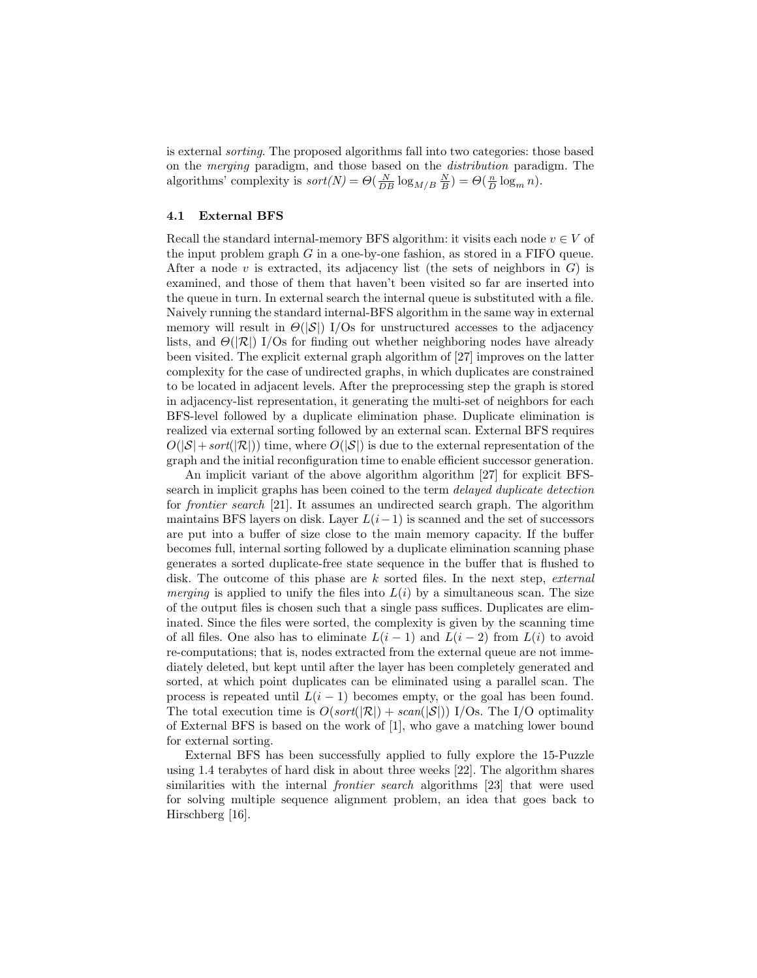is external sorting. The proposed algorithms fall into two categories: those based on the merging paradigm, and those based on the distribution paradigm. The algorithms' complexity is  $sort(N) = \Theta(\frac{N}{DB} \log_{M/B} \frac{N}{B}) = \Theta(\frac{n}{D} \log_m n)$ .

### 4.1 External BFS

Recall the standard internal-memory BFS algorithm: it visits each node  $v \in V$  of the input problem graph G in a one-by-one fashion, as stored in a FIFO queue. After a node v is extracted, its adjacency list (the sets of neighbors in  $G$ ) is examined, and those of them that haven't been visited so far are inserted into the queue in turn. In external search the internal queue is substituted with a file. Naively running the standard internal-BFS algorithm in the same way in external memory will result in  $\Theta(|\mathcal{S}|)$  I/Os for unstructured accesses to the adjacency lists, and  $\Theta(|\mathcal{R}|)$  I/Os for finding out whether neighboring nodes have already been visited. The explicit external graph algorithm of [27] improves on the latter complexity for the case of undirected graphs, in which duplicates are constrained to be located in adjacent levels. After the preprocessing step the graph is stored in adjacency-list representation, it generating the multi-set of neighbors for each BFS-level followed by a duplicate elimination phase. Duplicate elimination is realized via external sorting followed by an external scan. External BFS requires  $O(|\mathcal{S}| + sort(|\mathcal{R}|))$  time, where  $O(|\mathcal{S}|)$  is due to the external representation of the graph and the initial reconfiguration time to enable efficient successor generation.

An implicit variant of the above algorithm algorithm [27] for explicit BFSsearch in implicit graphs has been coined to the term delayed duplicate detection for frontier search [21]. It assumes an undirected search graph. The algorithm maintains BFS layers on disk. Layer  $L(i-1)$  is scanned and the set of successors are put into a buffer of size close to the main memory capacity. If the buffer becomes full, internal sorting followed by a duplicate elimination scanning phase generates a sorted duplicate-free state sequence in the buffer that is flushed to disk. The outcome of this phase are  $k$  sorted files. In the next step, external *merging* is applied to unify the files into  $L(i)$  by a simultaneous scan. The size of the output files is chosen such that a single pass suffices. Duplicates are eliminated. Since the files were sorted, the complexity is given by the scanning time of all files. One also has to eliminate  $L(i - 1)$  and  $L(i - 2)$  from  $L(i)$  to avoid re-computations; that is, nodes extracted from the external queue are not immediately deleted, but kept until after the layer has been completely generated and sorted, at which point duplicates can be eliminated using a parallel scan. The process is repeated until  $L(i - 1)$  becomes empty, or the goal has been found. The total execution time is  $O(\text{sort}(|\mathcal{R}|) + \text{scan}(|\mathcal{S}|))$  I/Os. The I/O optimality of External BFS is based on the work of [1], who gave a matching lower bound for external sorting.

External BFS has been successfully applied to fully explore the 15-Puzzle using 1.4 terabytes of hard disk in about three weeks [22]. The algorithm shares similarities with the internal frontier search algorithms [23] that were used for solving multiple sequence alignment problem, an idea that goes back to Hirschberg [16].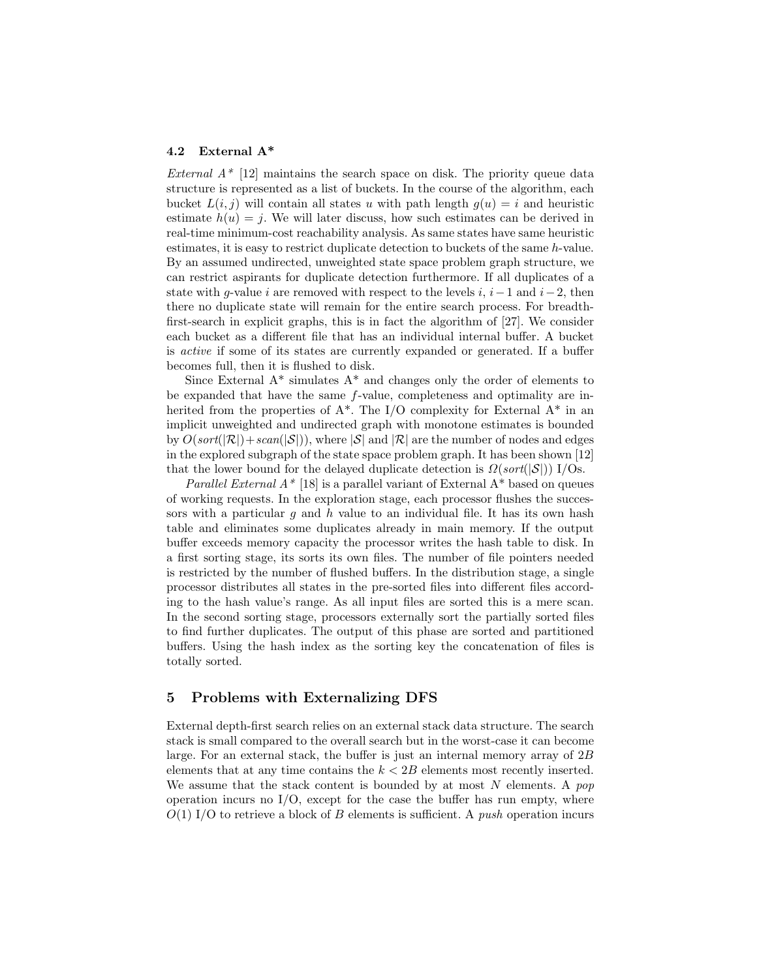#### 4.2 External A\*

External  $A^*$  [12] maintains the search space on disk. The priority queue data structure is represented as a list of buckets. In the course of the algorithm, each bucket  $L(i, j)$  will contain all states u with path length  $g(u) = i$  and heuristic estimate  $h(u) = j$ . We will later discuss, how such estimates can be derived in real-time minimum-cost reachability analysis. As same states have same heuristic estimates, it is easy to restrict duplicate detection to buckets of the same h-value. By an assumed undirected, unweighted state space problem graph structure, we can restrict aspirants for duplicate detection furthermore. If all duplicates of a state with g-value i are removed with respect to the levels i,  $i-1$  and  $i-2$ , then there no duplicate state will remain for the entire search process. For breadthfirst-search in explicit graphs, this is in fact the algorithm of [27]. We consider each bucket as a different file that has an individual internal buffer. A bucket is active if some of its states are currently expanded or generated. If a buffer becomes full, then it is flushed to disk.

Since External  $A^*$  simulates  $A^*$  and changes only the order of elements to be expanded that have the same f-value, completeness and optimality are inherited from the properties of  $A^*$ . The I/O complexity for External  $A^*$  in an implicit unweighted and undirected graph with monotone estimates is bounded by  $O(\mathit{sort}(|\mathcal{R}|) + \mathit{scan}(|\mathcal{S}|))$ , where  $|\mathcal{S}|$  and  $|\mathcal{R}|$  are the number of nodes and edges in the explored subgraph of the state space problem graph. It has been shown [12] that the lower bound for the delayed duplicate detection is  $\Omega(\text{sort}(|\mathcal{S}|))$  I/Os.

*Parallel External*  $A^*$  [18] is a parallel variant of External  $A^*$  based on queues of working requests. In the exploration stage, each processor flushes the successors with a particular q and h value to an individual file. It has its own hash table and eliminates some duplicates already in main memory. If the output buffer exceeds memory capacity the processor writes the hash table to disk. In a first sorting stage, its sorts its own files. The number of file pointers needed is restricted by the number of flushed buffers. In the distribution stage, a single processor distributes all states in the pre-sorted files into different files according to the hash value's range. As all input files are sorted this is a mere scan. In the second sorting stage, processors externally sort the partially sorted files to find further duplicates. The output of this phase are sorted and partitioned buffers. Using the hash index as the sorting key the concatenation of files is totally sorted.

### 5 Problems with Externalizing DFS

External depth-first search relies on an external stack data structure. The search stack is small compared to the overall search but in the worst-case it can become large. For an external stack, the buffer is just an internal memory array of 2B elements that at any time contains the  $k < 2B$  elements most recently inserted. We assume that the stack content is bounded by at most  $N$  elements. A pop operation incurs no  $I/O$ , except for the case the buffer has run empty, where  $O(1)$  I/O to retrieve a block of B elements is sufficient. A *push* operation incurs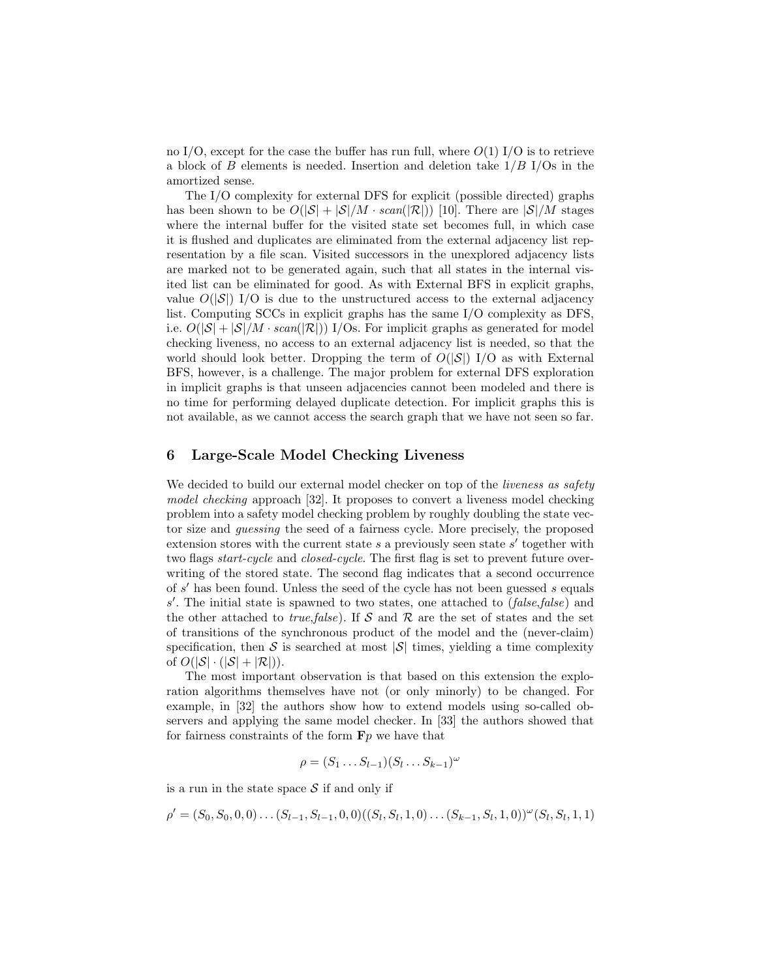no I/O, except for the case the buffer has run full, where  $O(1)$  I/O is to retrieve a block of B elements is needed. Insertion and deletion take  $1/B$  I/Os in the amortized sense.

The I/O complexity for external DFS for explicit (possible directed) graphs has been shown to be  $O(|\mathcal{S}| + |\mathcal{S}|/M \cdot scan(|\mathcal{R}|))$  [10]. There are  $|\mathcal{S}|/M$  stages where the internal buffer for the visited state set becomes full, in which case it is flushed and duplicates are eliminated from the external adjacency list representation by a file scan. Visited successors in the unexplored adjacency lists are marked not to be generated again, such that all states in the internal visited list can be eliminated for good. As with External BFS in explicit graphs, value  $O(|\mathcal{S}|)$  I/O is due to the unstructured access to the external adjacency list. Computing SCCs in explicit graphs has the same I/O complexity as DFS, i.e.  $O(|\mathcal{S}| + |\mathcal{S}|/M \cdot scan(|\mathcal{R}|))$  I/Os. For implicit graphs as generated for model checking liveness, no access to an external adjacency list is needed, so that the world should look better. Dropping the term of  $O(|\mathcal{S}|)$  I/O as with External BFS, however, is a challenge. The major problem for external DFS exploration in implicit graphs is that unseen adjacencies cannot been modeled and there is no time for performing delayed duplicate detection. For implicit graphs this is not available, as we cannot access the search graph that we have not seen so far.

### 6 Large-Scale Model Checking Liveness

We decided to build our external model checker on top of the *liveness as safety* model checking approach [32]. It proposes to convert a liveness model checking problem into a safety model checking problem by roughly doubling the state vector size and guessing the seed of a fairness cycle. More precisely, the proposed extension stores with the current state  $s$  a previously seen state  $s'$  together with two flags *start-cycle* and *closed-cycle*. The first flag is set to prevent future overwriting of the stored state. The second flag indicates that a second occurrence of  $s'$  has been found. Unless the seed of the cycle has not been guessed  $s$  equals s'. The initial state is spawned to two states, one attached to (false, false) and the other attached to *true,false*). If S and R are the set of states and the set of transitions of the synchronous product of the model and the (never-claim) specification, then S is searched at most  $|\mathcal{S}|$  times, yielding a time complexity of  $O(|\mathcal{S}| \cdot (|\mathcal{S}| + |\mathcal{R}|)).$ 

The most important observation is that based on this extension the exploration algorithms themselves have not (or only minorly) to be changed. For example, in [32] the authors show how to extend models using so-called observers and applying the same model checker. In [33] the authors showed that for fairness constraints of the form  $\mathbf{F}p$  we have that

$$
\rho = (S_1 \dots S_{l-1})(S_l \dots S_{k-1})^{\omega}
$$

is a run in the state space  $S$  if and only if

$$
\rho' = (S_0, S_0, 0, 0) \dots (S_{l-1}, S_{l-1}, 0, 0) ((S_l, S_l, 1, 0) \dots (S_{k-1}, S_l, 1, 0))^\omega (S_l, S_l, 1, 1)
$$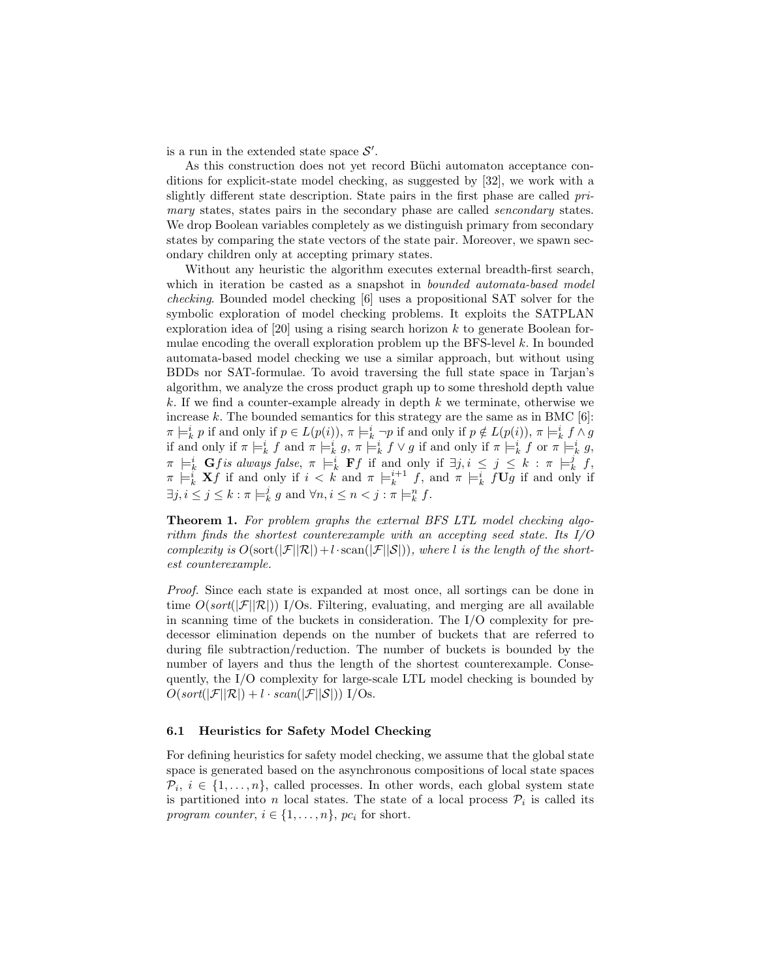is a run in the extended state space  $S'$ .

As this construction does not yet record Büchi automaton acceptance conditions for explicit-state model checking, as suggested by [32], we work with a slightly different state description. State pairs in the first phase are called primary states, states pairs in the secondary phase are called *sencondary* states. We drop Boolean variables completely as we distinguish primary from secondary states by comparing the state vectors of the state pair. Moreover, we spawn secondary children only at accepting primary states.

Without any heuristic the algorithm executes external breadth-first search, which in iteration be casted as a snapshot in *bounded automata-based model* checking. Bounded model checking [6] uses a propositional SAT solver for the symbolic exploration of model checking problems. It exploits the SATPLAN exploration idea of [20] using a rising search horizon  $k$  to generate Boolean formulae encoding the overall exploration problem up the BFS-level  $k$ . In bounded automata-based model checking we use a similar approach, but without using BDDs nor SAT-formulae. To avoid traversing the full state space in Tarjan's algorithm, we analyze the cross product graph up to some threshold depth value k. If we find a counter-example already in depth  $k$  we terminate, otherwise we increase k. The bounded semantics for this strategy are the same as in BMC  $[6]$ :  $\pi \models^i_k p$  if and only if  $p \in L(p(i))$ ,  $\pi \models^i_k \neg p$  if and only if  $p \notin L(p(i))$ ,  $\pi \models^i_k f \wedge g$ if and only if  $\pi \models_k^i f$  and  $\pi \models_k^i g$ ,  $\pi \models_k^i f \vee g$  if and only if  $\pi \models_k^i f$  or  $\pi \models_k^i g$ ,  $\pi \models^i_k \mathbf{G}$  f is always false,  $\pi \models^i_k \mathbf{F}$  f if and only if  $\exists j, i \leq j \leq k : \pi \models^j_k f$ ,  $\pi \models_k^i Xf$  if and only if  $i < k$  and  $\pi \models_k^{i+1} f$ , and  $\pi \models_k^i fUg$  if and only if  $\exists j, i \leq j \leq k : \pi \models^j_k g \text{ and } \forall n, i \leq n < j : \pi \models^n_k f.$ 

Theorem 1. For problem graphs the external BFS LTL model checking algorithm finds the shortest counterexample with an accepting seed state. Its I/O complexity is  $O(\text{sort}(|\mathcal{F}||\mathcal{R}|)+l\cdot\text{scan}(|\mathcal{F}||\mathcal{S}|)),$  where l is the length of the shortest counterexample.

Proof. Since each state is expanded at most once, all sortings can be done in time  $O(\text{sort}(|\mathcal{F}||\mathcal{R}|))$  I/Os. Filtering, evaluating, and merging are all available in scanning time of the buckets in consideration. The I/O complexity for predecessor elimination depends on the number of buckets that are referred to during file subtraction/reduction. The number of buckets is bounded by the number of layers and thus the length of the shortest counterexample. Consequently, the I/O complexity for large-scale LTL model checking is bounded by  $O(\mathit{sort}(|\mathcal{F}||\mathcal{R}|) + l \cdot \mathit{scan}(|\mathcal{F}||\mathcal{S}|))$  I/Os.

#### 6.1 Heuristics for Safety Model Checking

For defining heuristics for safety model checking, we assume that the global state space is generated based on the asynchronous compositions of local state spaces  $\mathcal{P}_i, i \in \{1, \ldots, n\},$  called processes. In other words, each global system state is partitioned into n local states. The state of a local process  $P_i$  is called its program counter,  $i \in \{1, \ldots, n\}$ , pc<sub>i</sub> for short.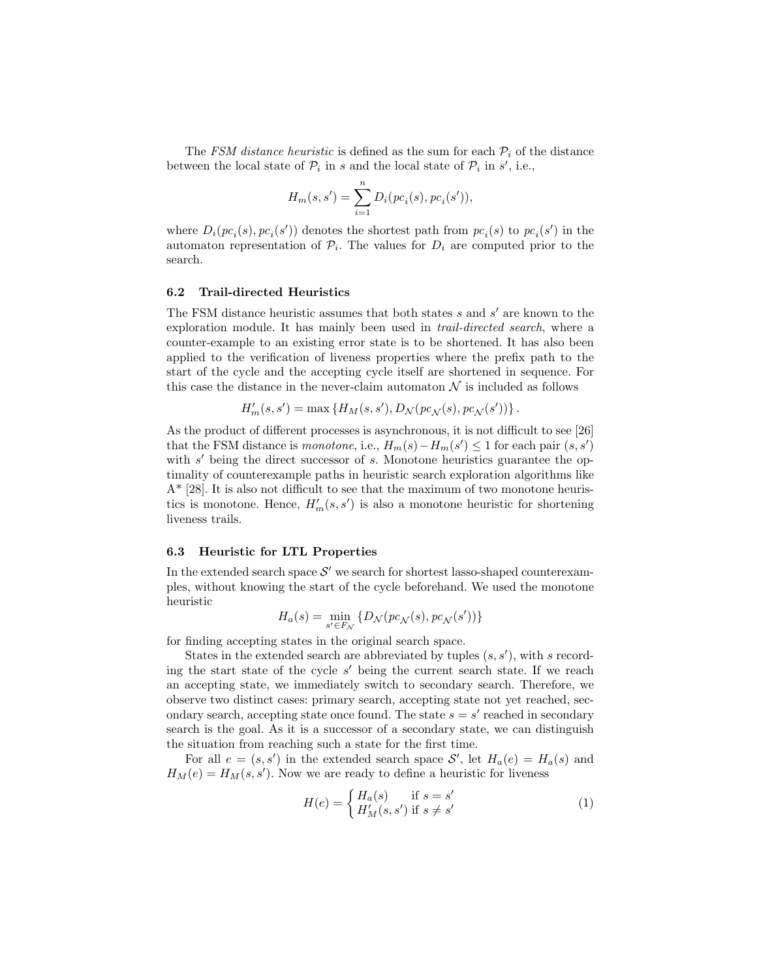The FSM distance heuristic is defined as the sum for each  $\mathcal{P}_i$  of the distance between the local state of  $\mathcal{P}_i$  in s and the local state of  $\mathcal{P}_i$  in s', i.e.,

$$
H_m(s, s') = \sum_{i=1}^{n} D_i(p c_i(s), p c_i(s')),
$$

where  $D_i(pc_i(s), pc_i(s')$  denotes the shortest path from  $pc_i(s)$  to  $pc_i(s')$  in the automaton representation of  $\mathcal{P}_i$ . The values for  $D_i$  are computed prior to the search.

#### 6.2 Trail-directed Heuristics

The FSM distance heuristic assumes that both states  $s$  and  $s'$  are known to the exploration module. It has mainly been used in trail-directed search, where a counter-example to an existing error state is to be shortened. It has also been applied to the verification of liveness properties where the prefix path to the start of the cycle and the accepting cycle itself are shortened in sequence. For this case the distance in the never-claim automaton  $\mathcal N$  is included as follows

$$
H'_m(s,s')=\max\left\{H_M(s,s'), D_{\mathcal{N}}(pc_{\mathcal{N}}(s),pc_{\mathcal{N}}(s'))\right\}.
$$

As the product of different processes is asynchronous, it is not difficult to see [26] that the FSM distance is *monotone*, i.e.,  $H_m(s) - H_m(s') \leq 1$  for each pair  $(s, s')$ with  $s'$  being the direct successor of  $s$ . Monotone heuristics guarantee the optimality of counterexample paths in heuristic search exploration algorithms like  $A^*$  [28]. It is also not difficult to see that the maximum of two monotone heuristics is monotone. Hence,  $H'_m(s, s')$  is also a monotone heuristic for shortening liveness trails.

#### 6.3 Heuristic for LTL Properties

In the extended search space  $\mathcal{S}'$  we search for shortest lasso-shaped counterexamples, without knowing the start of the cycle beforehand. We used the monotone heuristic

$$
H_a(s) = \min_{s' \in F_{\mathcal{N}}}\left\{D_{\mathcal{N}}(pc_{\mathcal{N}}(s), pc_{\mathcal{N}}(s'))\right\}
$$

for finding accepting states in the original search space.

States in the extended search are abbreviated by tuples  $(s, s')$ , with s recording the start state of the cycle  $s'$  being the current search state. If we reach an accepting state, we immediately switch to secondary search. Therefore, we observe two distinct cases: primary search, accepting state not yet reached, secondary search, accepting state once found. The state  $s = s'$  reached in secondary search is the goal. As it is a successor of a secondary state, we can distinguish the situation from reaching such a state for the first time.

For all  $e = (s, s')$  in the extended search space  $S'$ , let  $H_a(e) = H_a(s)$  and  $H_M(e) = H_M(s, s')$ . Now we are ready to define a heuristic for liveness

$$
H(e) = \begin{cases} H_a(s) & \text{if } s = s' \\ H'_M(s, s') & \text{if } s \neq s' \end{cases}
$$
 (1)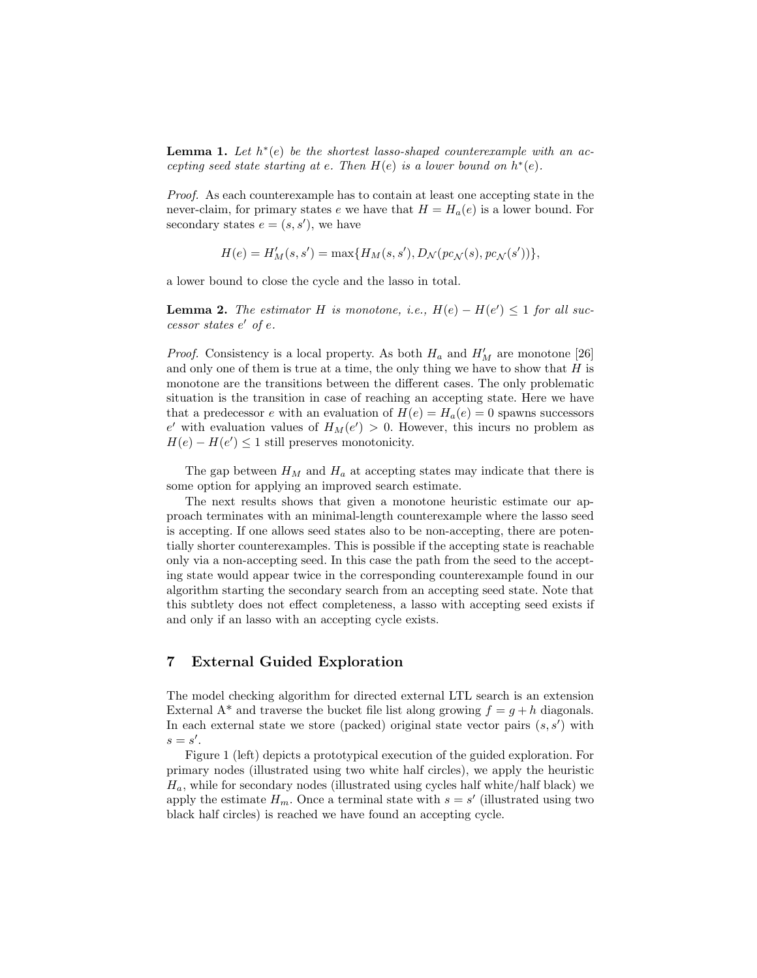**Lemma 1.** Let  $h^*(e)$  be the shortest lasso-shaped counterexample with an accepting seed state starting at e. Then  $H(e)$  is a lower bound on  $h^*(e)$ .

Proof. As each counterexample has to contain at least one accepting state in the never-claim, for primary states e we have that  $H = H_a(e)$  is a lower bound. For secondary states  $e = (s, s')$ , we have

$$
H(e) = H'_{M}(s, s') = \max\{H_{M}(s, s'), D_{\mathcal{N}}(pc_{\mathcal{N}}(s), pc_{\mathcal{N}}(s'))\},\,
$$

a lower bound to close the cycle and the lasso in total.

**Lemma 2.** The estimator H is monotone, i.e.,  $H(e) - H(e') \leq 1$  for all successor states  $e'$  of  $e$ .

*Proof.* Consistency is a local property. As both  $H_a$  and  $H'_M$  are monotone [26] and only one of them is true at a time, the only thing we have to show that  $H$  is monotone are the transitions between the different cases. The only problematic situation is the transition in case of reaching an accepting state. Here we have that a predecessor e with an evaluation of  $H(e) = H_a(e) = 0$  spawns successors e' with evaluation values of  $H_M(e') > 0$ . However, this incurs no problem as  $H(e) - H(e') \leq 1$  still preserves monotonicity.

The gap between  $H_M$  and  $H_a$  at accepting states may indicate that there is some option for applying an improved search estimate.

The next results shows that given a monotone heuristic estimate our approach terminates with an minimal-length counterexample where the lasso seed is accepting. If one allows seed states also to be non-accepting, there are potentially shorter counterexamples. This is possible if the accepting state is reachable only via a non-accepting seed. In this case the path from the seed to the accepting state would appear twice in the corresponding counterexample found in our algorithm starting the secondary search from an accepting seed state. Note that this subtlety does not effect completeness, a lasso with accepting seed exists if and only if an lasso with an accepting cycle exists.

### 7 External Guided Exploration

The model checking algorithm for directed external LTL search is an extension External A<sup>\*</sup> and traverse the bucket file list along growing  $f = g + h$  diagonals. In each external state we store (packed) original state vector pairs  $(s, s')$  with  $s = s'.$ 

Figure 1 (left) depicts a prototypical execution of the guided exploration. For primary nodes (illustrated using two white half circles), we apply the heuristic  $H_a$ , while for secondary nodes (illustrated using cycles half white/half black) we apply the estimate  $H_m$ . Once a terminal state with  $s = s'$  (illustrated using two black half circles) is reached we have found an accepting cycle.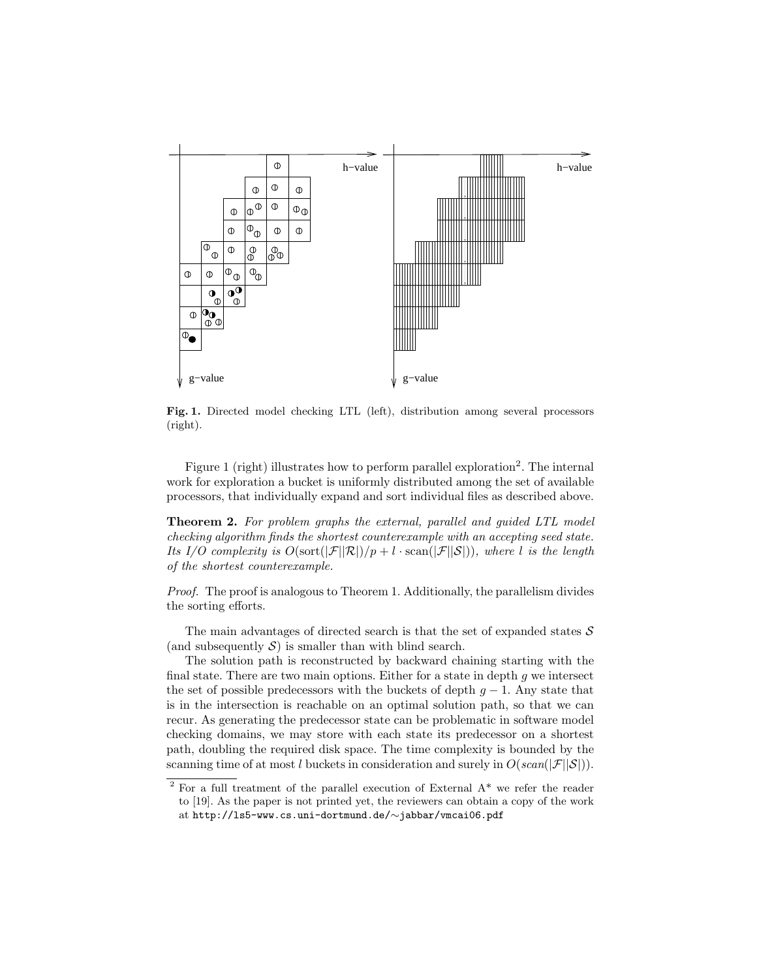

Fig. 1. Directed model checking LTL (left), distribution among several processors (right).

Figure 1 (right) illustrates how to perform parallel exploration<sup>2</sup>. The internal work for exploration a bucket is uniformly distributed among the set of available processors, that individually expand and sort individual files as described above.

Theorem 2. For problem graphs the external, parallel and guided LTL model checking algorithm finds the shortest counterexample with an accepting seed state. Its I/O complexity is  $O(\text{sort}(|\mathcal{F}||\mathcal{R}|)/p + l \cdot \text{scan}(|\mathcal{F}||\mathcal{S}|)),$  where l is the length of the shortest counterexample.

Proof. The proof is analogous to Theorem 1. Additionally, the parallelism divides the sorting efforts.

The main advantages of directed search is that the set of expanded states  $S$ (and subsequently  $S$ ) is smaller than with blind search.

The solution path is reconstructed by backward chaining starting with the final state. There are two main options. Either for a state in depth  $g$  we intersect the set of possible predecessors with the buckets of depth  $g - 1$ . Any state that is in the intersection is reachable on an optimal solution path, so that we can recur. As generating the predecessor state can be problematic in software model checking domains, we may store with each state its predecessor on a shortest path, doubling the required disk space. The time complexity is bounded by the scanning time of at most l buckets in consideration and surely in  $O(\operatorname{scan}(|\mathcal{F}||\mathcal{S}|)).$ 

 $2$  For a full treatment of the parallel execution of External A<sup>\*</sup> we refer the reader to [19]. As the paper is not printed yet, the reviewers can obtain a copy of the work at http://ls5-www.cs.uni-dortmund.de/∼jabbar/vmcai06.pdf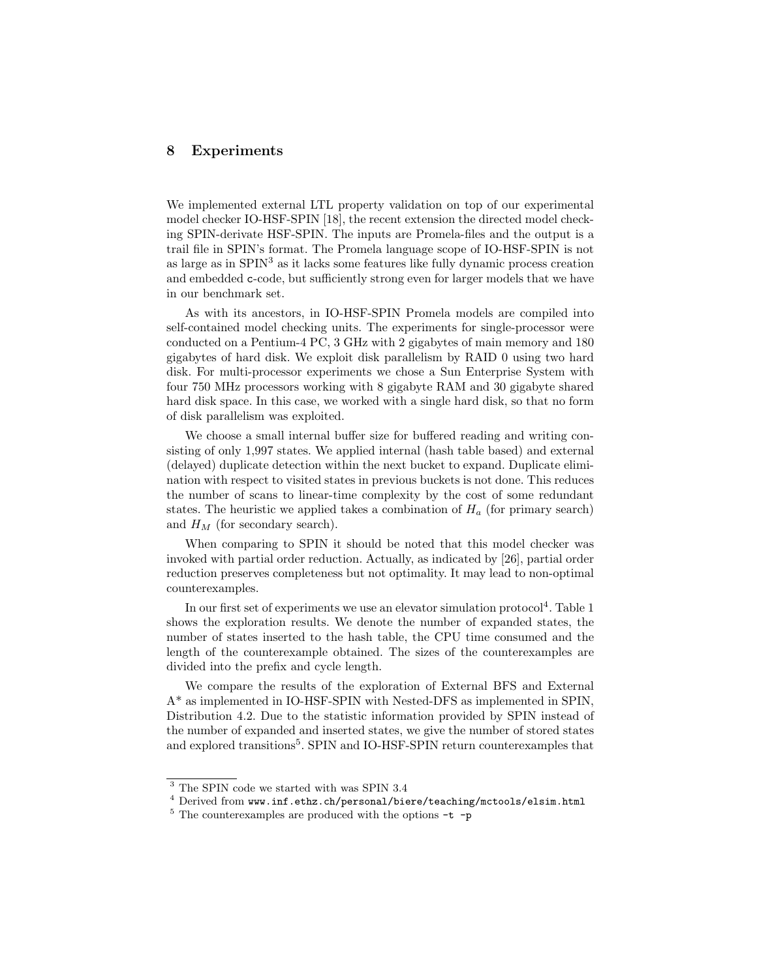### 8 Experiments

We implemented external LTL property validation on top of our experimental model checker IO-HSF-SPIN [18], the recent extension the directed model checking SPIN-derivate HSF-SPIN. The inputs are Promela-files and the output is a trail file in SPIN's format. The Promela language scope of IO-HSF-SPIN is not as large as in SPIN<sup>3</sup> as it lacks some features like fully dynamic process creation and embedded c-code, but sufficiently strong even for larger models that we have in our benchmark set.

As with its ancestors, in IO-HSF-SPIN Promela models are compiled into self-contained model checking units. The experiments for single-processor were conducted on a Pentium-4 PC, 3 GHz with 2 gigabytes of main memory and 180 gigabytes of hard disk. We exploit disk parallelism by RAID 0 using two hard disk. For multi-processor experiments we chose a Sun Enterprise System with four 750 MHz processors working with 8 gigabyte RAM and 30 gigabyte shared hard disk space. In this case, we worked with a single hard disk, so that no form of disk parallelism was exploited.

We choose a small internal buffer size for buffered reading and writing consisting of only 1,997 states. We applied internal (hash table based) and external (delayed) duplicate detection within the next bucket to expand. Duplicate elimination with respect to visited states in previous buckets is not done. This reduces the number of scans to linear-time complexity by the cost of some redundant states. The heuristic we applied takes a combination of  $H_a$  (for primary search) and  $H_M$  (for secondary search).

When comparing to SPIN it should be noted that this model checker was invoked with partial order reduction. Actually, as indicated by [26], partial order reduction preserves completeness but not optimality. It may lead to non-optimal counterexamples.

In our first set of experiments we use an elevator simulation protocol<sup>4</sup>. Table 1 shows the exploration results. We denote the number of expanded states, the number of states inserted to the hash table, the CPU time consumed and the length of the counterexample obtained. The sizes of the counterexamples are divided into the prefix and cycle length.

We compare the results of the exploration of External BFS and External A\* as implemented in IO-HSF-SPIN with Nested-DFS as implemented in SPIN, Distribution 4.2. Due to the statistic information provided by SPIN instead of the number of expanded and inserted states, we give the number of stored states and explored transitions<sup>5</sup>. SPIN and IO-HSF-SPIN return counterexamples that

<sup>3</sup> The SPIN code we started with was SPIN 3.4

<sup>&</sup>lt;sup>4</sup> Derived from www.inf.ethz.ch/personal/biere/teaching/mctools/elsim.html

 $5$  The counterexamples are produced with the options  $-t$  -p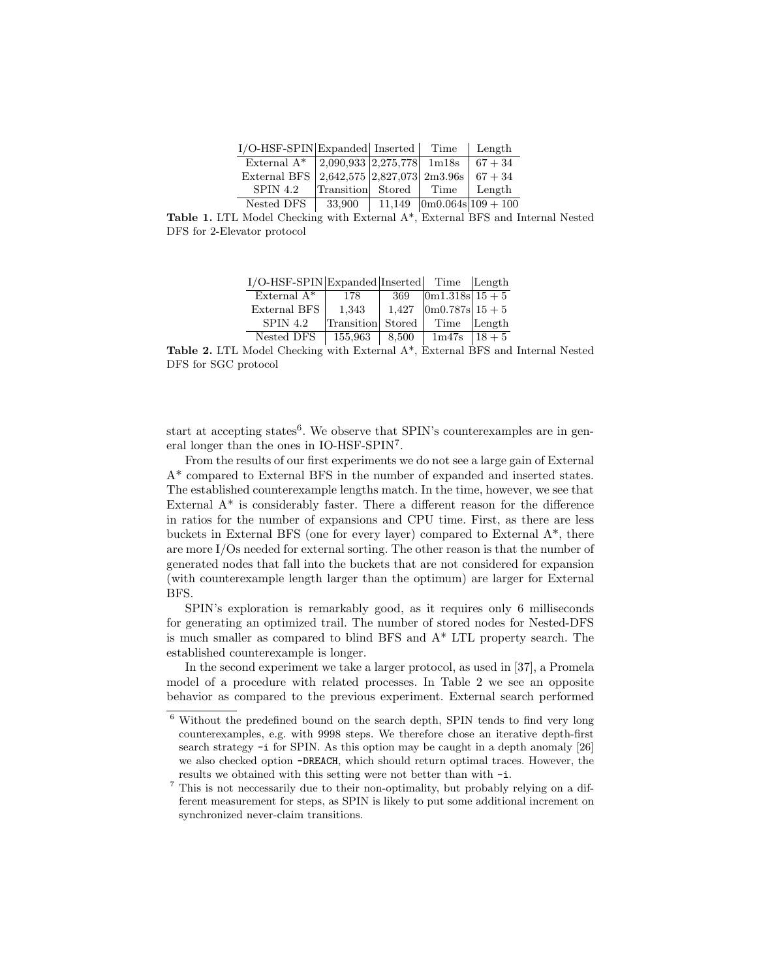| I/O-HSF-SPIN Expanded Inserted           |                               |        | Time | Length                   |
|------------------------------------------|-------------------------------|--------|------|--------------------------|
| External $A^*$                           | $ 2,090,933 2,275,778 $ 1m18s |        |      | $67 + 34$                |
| External BFS 2,642,575 2,827,073 2m3.96s |                               |        |      | $67 + 34$                |
| <b>SPIN 4.2</b>                          | Transition Stored             |        | Time | Length                   |
| Nested DFS                               | 33,900                        | 11.149 |      | $\sqrt{0m0.064s}109+100$ |

Table 1. LTL Model Checking with External A\*, External BFS and Internal Nested DFS for 2-Elevator protocol

| I/O-HSF-SPIN Expanded Inserted  Time  Length |                   |       |                  |          |
|----------------------------------------------|-------------------|-------|------------------|----------|
| External $A^*$                               | 178               | 369   | $ 0m1.318s 15+5$ |          |
| External BFS                                 | 1.343             | 1.427 | $ 0m0.787s 15+5$ |          |
| SPIN 4.2                                     | Transition Stored |       | Time             | Length   |
| Nested DFS                                   | 155.963           | 8.500 | 1m47s            | $18 + 5$ |

Table 2. LTL Model Checking with External A\*, External BFS and Internal Nested DFS for SGC protocol

start at accepting states<sup>6</sup>. We observe that SPIN's counterexamples are in general longer than the ones in IO-HSF-SPIN<sup>7</sup> .

From the results of our first experiments we do not see a large gain of External A\* compared to External BFS in the number of expanded and inserted states. The established counterexample lengths match. In the time, however, we see that External  $A^*$  is considerably faster. There a different reason for the difference in ratios for the number of expansions and CPU time. First, as there are less buckets in External BFS (one for every layer) compared to External A\*, there are more I/Os needed for external sorting. The other reason is that the number of generated nodes that fall into the buckets that are not considered for expansion (with counterexample length larger than the optimum) are larger for External BFS.

SPIN's exploration is remarkably good, as it requires only 6 milliseconds for generating an optimized trail. The number of stored nodes for Nested-DFS is much smaller as compared to blind BFS and A\* LTL property search. The established counterexample is longer.

In the second experiment we take a larger protocol, as used in [37], a Promela model of a procedure with related processes. In Table 2 we see an opposite behavior as compared to the previous experiment. External search performed

<sup>6</sup> Without the predefined bound on the search depth, SPIN tends to find very long counterexamples, e.g. with 9998 steps. We therefore chose an iterative depth-first search strategy -i for SPIN. As this option may be caught in a depth anomaly [26] we also checked option -DREACH, which should return optimal traces. However, the results we obtained with this setting were not better than with -i.

 $^7$  This is not neccessarily due to their non-optimality, but probably relying on a different measurement for steps, as SPIN is likely to put some additional increment on synchronized never-claim transitions.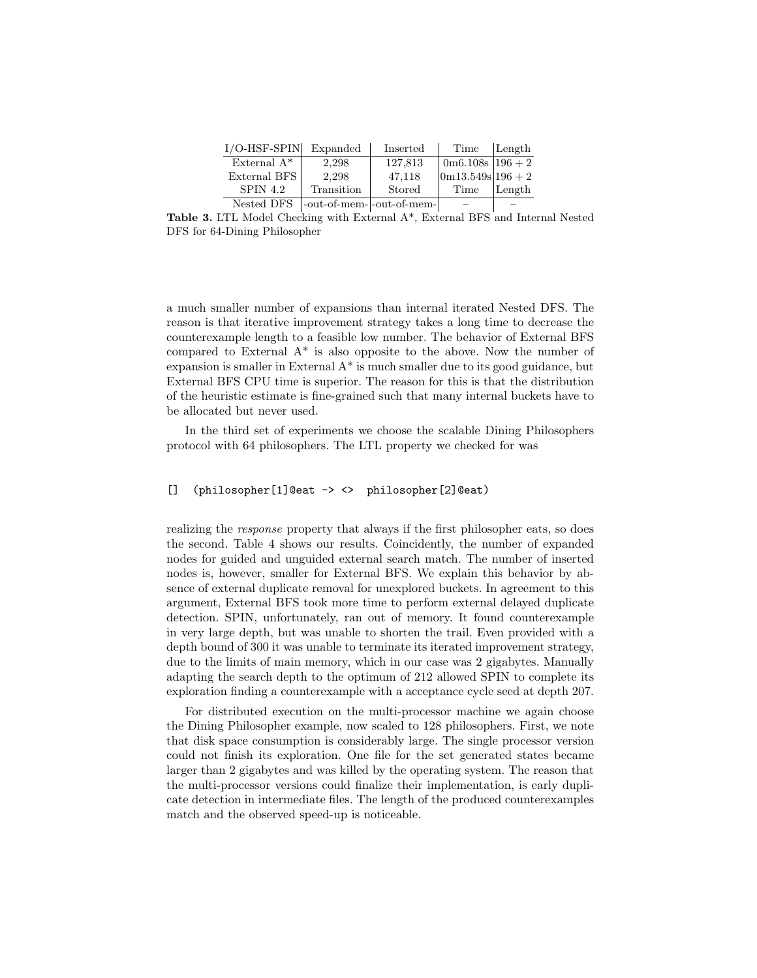| $I/O$ -HSF-SPIN | Expanded   | Inserted                 | Time                                | Length |
|-----------------|------------|--------------------------|-------------------------------------|--------|
| External $A^*$  | 2.298      | 127,813                  | $\vert$ 0m6.108s $\vert$ 196 + 2    |        |
| External BFS    | 2.298      | 47,118                   | $\lfloor 0m13.549s \rfloor 196 + 2$ |        |
| <b>SPIN 4.2</b> | Transition | Stored                   | Time                                | Length |
| Nested DFS      |            | -out-of-mem--out-of-mem- |                                     |        |

Table 3. LTL Model Checking with External A\*, External BFS and Internal Nested DFS for 64-Dining Philosopher

a much smaller number of expansions than internal iterated Nested DFS. The reason is that iterative improvement strategy takes a long time to decrease the counterexample length to a feasible low number. The behavior of External BFS compared to External A\* is also opposite to the above. Now the number of expansion is smaller in External A\* is much smaller due to its good guidance, but External BFS CPU time is superior. The reason for this is that the distribution of the heuristic estimate is fine-grained such that many internal buckets have to be allocated but never used.

In the third set of experiments we choose the scalable Dining Philosophers protocol with 64 philosophers. The LTL property we checked for was

### [] (philosopher[1]@eat -> <> philosopher[2]@eat)

realizing the response property that always if the first philosopher eats, so does the second. Table 4 shows our results. Coincidently, the number of expanded nodes for guided and unguided external search match. The number of inserted nodes is, however, smaller for External BFS. We explain this behavior by absence of external duplicate removal for unexplored buckets. In agreement to this argument, External BFS took more time to perform external delayed duplicate detection. SPIN, unfortunately, ran out of memory. It found counterexample in very large depth, but was unable to shorten the trail. Even provided with a depth bound of 300 it was unable to terminate its iterated improvement strategy, due to the limits of main memory, which in our case was 2 gigabytes. Manually adapting the search depth to the optimum of 212 allowed SPIN to complete its exploration finding a counterexample with a acceptance cycle seed at depth 207.

For distributed execution on the multi-processor machine we again choose the Dining Philosopher example, now scaled to 128 philosophers. First, we note that disk space consumption is considerably large. The single processor version could not finish its exploration. One file for the set generated states became larger than 2 gigabytes and was killed by the operating system. The reason that the multi-processor versions could finalize their implementation, is early duplicate detection in intermediate files. The length of the produced counterexamples match and the observed speed-up is noticeable.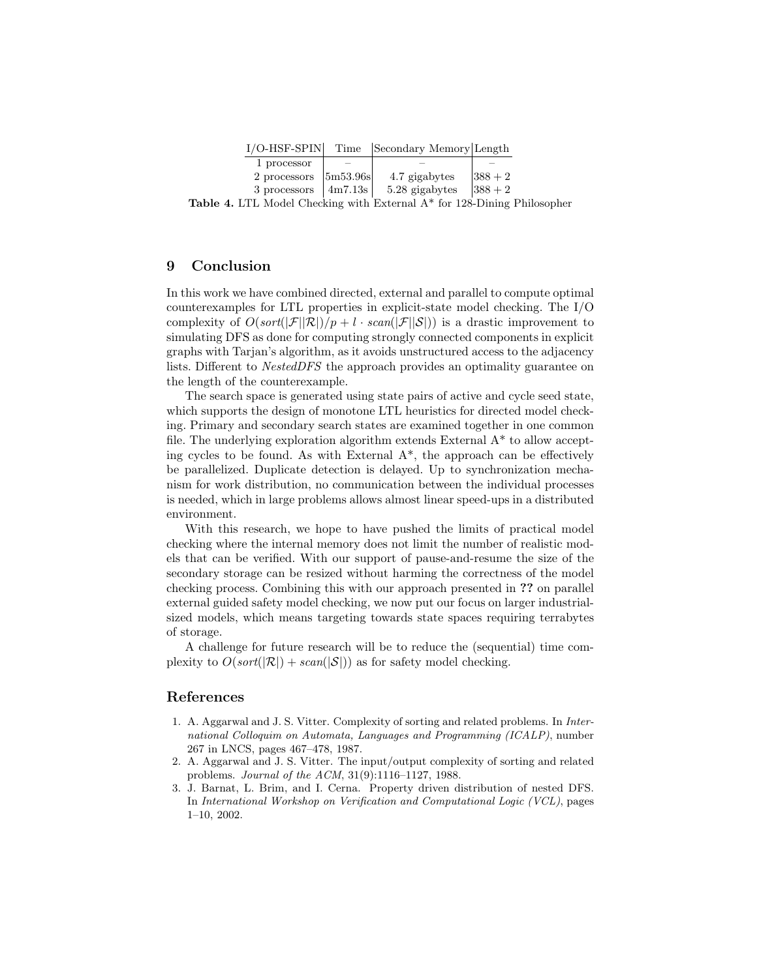| $I/O$ -HSF-SPIN             | Time Secondary Memory Length |          |
|-----------------------------|------------------------------|----------|
| 1 processor                 |                              |          |
| $2$ processors $ 5m53.96s $ | 4.7 gigabytes                | $ 388+2$ |

|              |               | .                        |  |
|--------------|---------------|--------------------------|--|
| 3 processors | $\pm 4m7.13s$ | 5.28 gigabytes $ 388+2 $ |  |

Table 4. LTL Model Checking with External A\* for 128-Dining Philosopher

# 9 Conclusion

In this work we have combined directed, external and parallel to compute optimal counterexamples for LTL properties in explicit-state model checking. The I/O complexity of  $O(\text{sort}(|\mathcal{F}||\mathcal{R}|)/p + l \cdot \text{scan}(|\mathcal{F}||\mathcal{S}|))$  is a drastic improvement to simulating DFS as done for computing strongly connected components in explicit graphs with Tarjan's algorithm, as it avoids unstructured access to the adjacency lists. Different to NestedDFS the approach provides an optimality guarantee on the length of the counterexample.

The search space is generated using state pairs of active and cycle seed state, which supports the design of monotone LTL heuristics for directed model checking. Primary and secondary search states are examined together in one common file. The underlying exploration algorithm extends External  $A^*$  to allow accepting cycles to be found. As with External  $A^*$ , the approach can be effectively be parallelized. Duplicate detection is delayed. Up to synchronization mechanism for work distribution, no communication between the individual processes is needed, which in large problems allows almost linear speed-ups in a distributed environment.

With this research, we hope to have pushed the limits of practical model checking where the internal memory does not limit the number of realistic models that can be verified. With our support of pause-and-resume the size of the secondary storage can be resized without harming the correctness of the model checking process. Combining this with our approach presented in ?? on parallel external guided safety model checking, we now put our focus on larger industrialsized models, which means targeting towards state spaces requiring terrabytes of storage.

A challenge for future research will be to reduce the (sequential) time complexity to  $O(\text{sort}(|\mathcal{R}|) + \text{scan}(|\mathcal{S}|))$  as for safety model checking.

#### References

- 1. A. Aggarwal and J. S. Vitter. Complexity of sorting and related problems. In International Colloquim on Automata, Languages and Programming (ICALP), number 267 in LNCS, pages 467–478, 1987.
- 2. A. Aggarwal and J. S. Vitter. The input/output complexity of sorting and related problems. Journal of the ACM, 31(9):1116–1127, 1988.
- 3. J. Barnat, L. Brim, and I. Cerna. Property driven distribution of nested DFS. In International Workshop on Verification and Computational Logic (VCL), pages 1–10, 2002.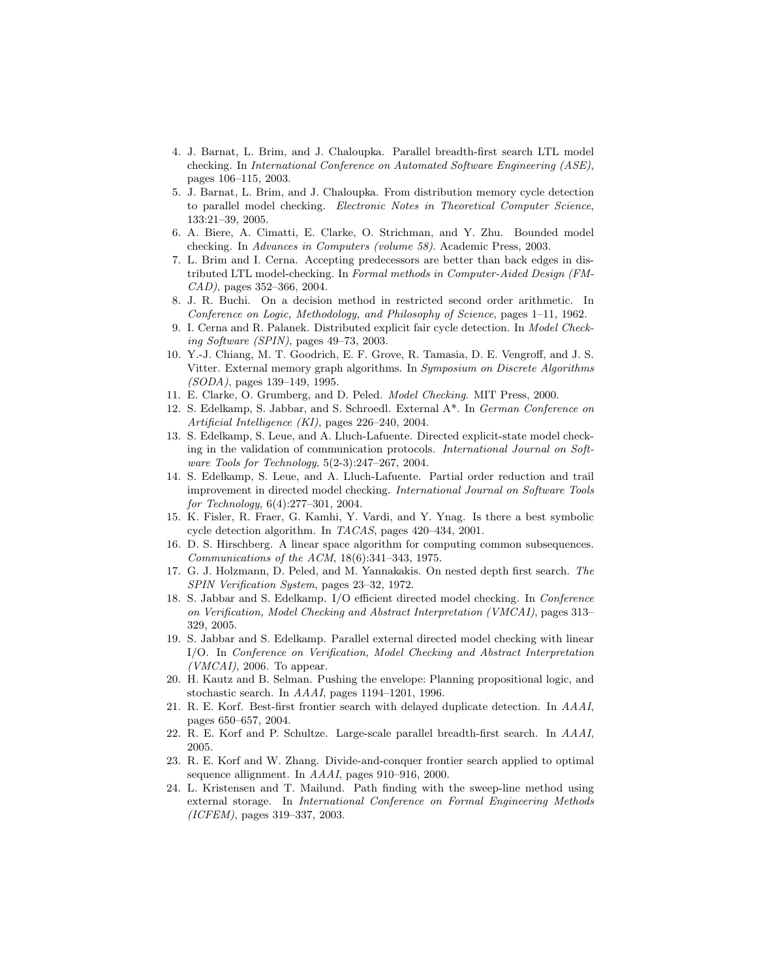- 4. J. Barnat, L. Brim, and J. Chaloupka. Parallel breadth-first search LTL model checking. In International Conference on Automated Software Engineering (ASE), pages 106–115, 2003.
- 5. J. Barnat, L. Brim, and J. Chaloupka. From distribution memory cycle detection to parallel model checking. Electronic Notes in Theoretical Computer Science, 133:21–39, 2005.
- 6. A. Biere, A. Cimatti, E. Clarke, O. Strichman, and Y. Zhu. Bounded model checking. In Advances in Computers (volume 58). Academic Press, 2003.
- 7. L. Brim and I. Cerna. Accepting predecessors are better than back edges in distributed LTL model-checking. In Formal methods in Computer-Aided Design (FM-CAD), pages 352–366, 2004.
- 8. J. R. Buchi. On a decision method in restricted second order arithmetic. In Conference on Logic, Methodology, and Philosophy of Science, pages 1–11, 1962.
- 9. I. Cerna and R. Palanek. Distributed explicit fair cycle detection. In Model Checking Software (SPIN), pages 49–73, 2003.
- 10. Y.-J. Chiang, M. T. Goodrich, E. F. Grove, R. Tamasia, D. E. Vengroff, and J. S. Vitter. External memory graph algorithms. In Symposium on Discrete Algorithms (SODA), pages 139–149, 1995.
- 11. E. Clarke, O. Grumberg, and D. Peled. Model Checking. MIT Press, 2000.
- 12. S. Edelkamp, S. Jabbar, and S. Schroedl. External A\*. In German Conference on Artificial Intelligence (KI), pages 226–240, 2004.
- 13. S. Edelkamp, S. Leue, and A. Lluch-Lafuente. Directed explicit-state model checking in the validation of communication protocols. International Journal on Software Tools for Technology, 5(2-3):247–267, 2004.
- 14. S. Edelkamp, S. Leue, and A. Lluch-Lafuente. Partial order reduction and trail improvement in directed model checking. International Journal on Software Tools for Technology, 6(4):277–301, 2004.
- 15. K. Fisler, R. Fraer, G. Kamhi, Y. Vardi, and Y. Ynag. Is there a best symbolic cycle detection algorithm. In TACAS, pages 420–434, 2001.
- 16. D. S. Hirschberg. A linear space algorithm for computing common subsequences. Communications of the ACM, 18(6):341–343, 1975.
- 17. G. J. Holzmann, D. Peled, and M. Yannakakis. On nested depth first search. The SPIN Verification System, pages 23–32, 1972.
- 18. S. Jabbar and S. Edelkamp. I/O efficient directed model checking. In Conference on Verification, Model Checking and Abstract Interpretation (VMCAI), pages 313– 329, 2005.
- 19. S. Jabbar and S. Edelkamp. Parallel external directed model checking with linear I/O. In Conference on Verification, Model Checking and Abstract Interpretation  $(VMCAI), 2006.$  To appear.
- 20. H. Kautz and B. Selman. Pushing the envelope: Planning propositional logic, and stochastic search. In AAAI, pages 1194–1201, 1996.
- 21. R. E. Korf. Best-first frontier search with delayed duplicate detection. In AAAI, pages 650–657, 2004.
- 22. R. E. Korf and P. Schultze. Large-scale parallel breadth-first search. In AAAI, 2005.
- 23. R. E. Korf and W. Zhang. Divide-and-conquer frontier search applied to optimal sequence allignment. In AAAI, pages 910–916, 2000.
- 24. L. Kristensen and T. Mailund. Path finding with the sweep-line method using external storage. In International Conference on Formal Engineering Methods (ICFEM), pages 319–337, 2003.